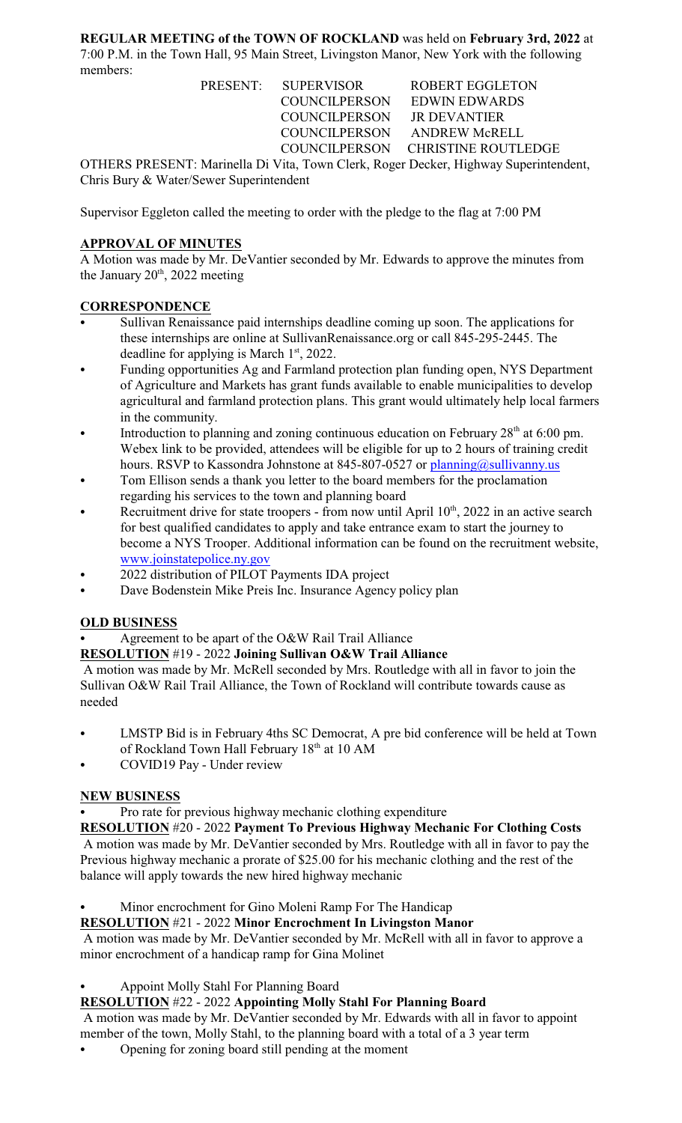**REGULAR MEETING of the TOWN OF ROCKLAND** was held on **February 3rd, 2022** at 7:00 P.M. in the Town Hall, 95 Main Street, Livingston Manor, New York with the following members:

| PRESENT: SUPERVISOR        | <b>ROBERT EGGLETON</b>                                                               |
|----------------------------|--------------------------------------------------------------------------------------|
|                            | COUNCILPERSON EDWIN EDWARDS                                                          |
| COUNCILPERSON JR DEVANTIER |                                                                                      |
|                            | COUNCILPERSON ANDREW McRELL                                                          |
|                            | COUNCILPERSON CHRISTINE ROUTLEDGE                                                    |
|                            | OTHERS PRESENT: Marinella Di Vita, Town Clerk, Roger Decker, Highway Superintendent, |

Chris Bury & Water/Sewer Superintendent

Supervisor Eggleton called the meeting to order with the pledge to the flag at 7:00 PM

# **APPROVAL OF MINUTES**

A Motion was made by Mr. DeVantier seconded by Mr. Edwards to approve the minutes from the January  $20<sup>th</sup>$ , 2022 meeting

## **CORRESPONDENCE**

- Sullivan Renaissance paid internships deadline coming up soon. The applications for these internships are online at SullivanRenaissance.org or call 845-295-2445. The deadline for applying is March 1st, 2022.
- Funding opportunities Ag and Farmland protection plan funding open, NYS Department of Agriculture and Markets has grant funds available to enable municipalities to develop agricultural and farmland protection plans. This grant would ultimately help local farmers in the community.
- Introduction to planning and zoning continuous education on February  $28<sup>th</sup>$  at 6:00 pm. Webex link to be provided, attendees will be eligible for up to 2 hours of training credit hours. RSVP to Kassondra Johnstone at 845-807-0527 or  $planning@sullivanny.us$
- Tom Ellison sends a thank you letter to the board members for the proclamation regarding his services to the town and planning board
- Recruitment drive for state troopers from now until April  $10<sup>th</sup>$ , 2022 in an active search for best qualified candidates to apply and take entrance exam to start the journey to become a NYS Trooper. Additional information can be found on the recruitment website, [www.joinstatepolice.ny.gov](http://www.joinstatepolice.ny.gov)
- 2022 distribution of PILOT Payments IDA project
- Dave Bodenstein Mike Preis Inc. Insurance Agency policy plan

## **OLD BUSINESS**

Agreement to be apart of the O&W Rail Trail Alliance

## **RESOLUTION** #19 - 2022 **Joining Sullivan O&W Trail Alliance**

 A motion was made by Mr. McRell seconded by Mrs. Routledge with all in favor to join the Sullivan O&W Rail Trail Alliance, the Town of Rockland will contribute towards cause as needed

- LMSTP Bid is in February 4ths SC Democrat, A pre bid conference will be held at Town of Rockland Town Hall February 18<sup>th</sup> at 10 AM
- COVID19 Pay Under review

## **NEW BUSINESS**

Pro rate for previous highway mechanic clothing expenditure

**RESOLUTION** #20 - 2022 **Payment To Previous Highway Mechanic For Clothing Costs** A motion was made by Mr. DeVantier seconded by Mrs. Routledge with all in favor to pay the Previous highway mechanic a prorate of \$25.00 for his mechanic clothing and the rest of the balance will apply towards the new hired highway mechanic

Minor encrochment for Gino Moleni Ramp For The Handicap

## **RESOLUTION** #21 - 2022 **Minor Encrochment In Livingston Manor**

 A motion was made by Mr. DeVantier seconded by Mr. McRell with all in favor to approve a minor encrochment of a handicap ramp for Gina Molinet

Appoint Molly Stahl For Planning Board

## **RESOLUTION** #22 - 2022 **Appointing Molly Stahl For Planning Board**

 A motion was made by Mr. DeVantier seconded by Mr. Edwards with all in favor to appoint member of the town, Molly Stahl, to the planning board with a total of a 3 year term

Opening for zoning board still pending at the moment